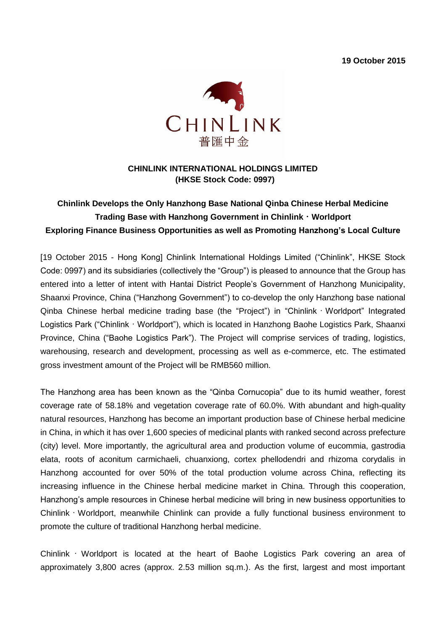**19 October 2015**



## **CHINLINK INTERNATIONAL HOLDINGS LIMITED (HKSE Stock Code: 0997)**

# **Chinlink Develops the Only Hanzhong Base National Qinba Chinese Herbal Medicine Trading Base with Hanzhong Government in Chinlink**・**Worldport Exploring Finance Business Opportunities as well as Promoting Hanzhong's Local Culture**

[19 October 2015 - Hong Kong] Chinlink International Holdings Limited ("Chinlink", HKSE Stock Code: 0997) and its subsidiaries (collectively the "Group") is pleased to announce that the Group has entered into a letter of intent with Hantai District People's Government of Hanzhong Municipality, Shaanxi Province, China ("Hanzhong Government") to co-develop the only Hanzhong base national Qinba Chinese herbal medicine trading base (the "Project") in "Chinlink・Worldport" Integrated Logistics Park ("Chinlink・Worldport"), which is located in Hanzhong Baohe Logistics Park, Shaanxi Province, China ("Baohe Logistics Park"). The Project will comprise services of trading, logistics, warehousing, research and development, processing as well as e-commerce, etc. The estimated gross investment amount of the Project will be RMB560 million.

The Hanzhong area has been known as the "Qinba Cornucopia" due to its humid weather, forest coverage rate of 58.18% and vegetation coverage rate of 60.0%. With abundant and high-quality natural resources, Hanzhong has become an important production base of Chinese herbal medicine in China, in which it has over 1,600 species of medicinal plants with ranked second across prefecture (city) level. More importantly, the agricultural area and production volume of eucommia, gastrodia elata, roots of aconitum carmichaeli, chuanxiong, cortex phellodendri and rhizoma corydalis in Hanzhong accounted for over 50% of the total production volume across China, reflecting its increasing influence in the Chinese herbal medicine market in China. Through this cooperation, Hanzhong's ample resources in Chinese herbal medicine will bring in new business opportunities to Chinlink・Worldport, meanwhile Chinlink can provide a fully functional business environment to promote the culture of traditional Hanzhong herbal medicine.

Chinlink  $\cdot$  Worldport is located at the heart of Baohe Logistics Park covering an area of approximately 3,800 acres (approx. 2.53 million sq.m.). As the first, largest and most important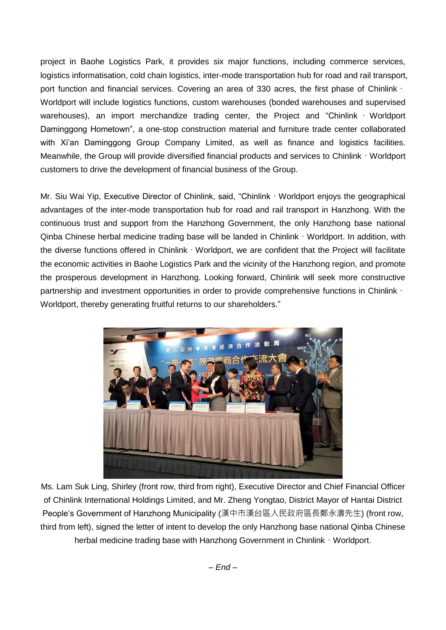project in Baohe Logistics Park, it provides six major functions, including commerce services, logistics informatisation, cold chain logistics, inter-mode transportation hub for road and rail transport, port function and financial services. Covering an area of 330 acres, the first phase of Chinlink · Worldport will include logistics functions, custom warehouses (bonded warehouses and supervised warehouses), an import merchandize trading center, the Project and "Chinlink · Worldport Daminggong Hometown", a one-stop construction material and furniture trade center collaborated with Xi'an Daminggong Group Company Limited, as well as finance and logistics facilities. Meanwhile, the Group will provide diversified financial products and services to Chinlink · Worldport customers to drive the development of financial business of the Group.

Mr. Siu Wai Yip, Executive Director of Chinlink, said, "Chinlink · Worldport enjoys the geographical advantages of the inter-mode transportation hub for road and rail transport in Hanzhong. With the continuous trust and support from the Hanzhong Government, the only Hanzhong base national Qinba Chinese herbal medicine trading base will be landed in Chinlink・Worldport. In addition, with the diverse functions offered in Chinlink · Worldport, we are confident that the Project will facilitate the economic activities in Baohe Logistics Park and the vicinity of the Hanzhong region, and promote the prosperous development in Hanzhong. Looking forward, Chinlink will seek more constructive partnership and investment opportunities in order to provide comprehensive functions in Chinlink · Worldport, thereby generating fruitful returns to our shareholders."



Ms. Lam Suk Ling, Shirley (front row, third from right), Executive Director and Chief Financial Officer of Chinlink International Holdings Limited, and Mr. Zheng Yongtao, District Mayor of Hantai District People's Government of Hanzhong Municipality (漢中市漢台區人民政府區長鄭永濤先生) (front row, third from left), signed the letter of intent to develop the only Hanzhong base national Qinba Chinese herbal medicine trading base with Hanzhong Government in Chinlink · Worldport.